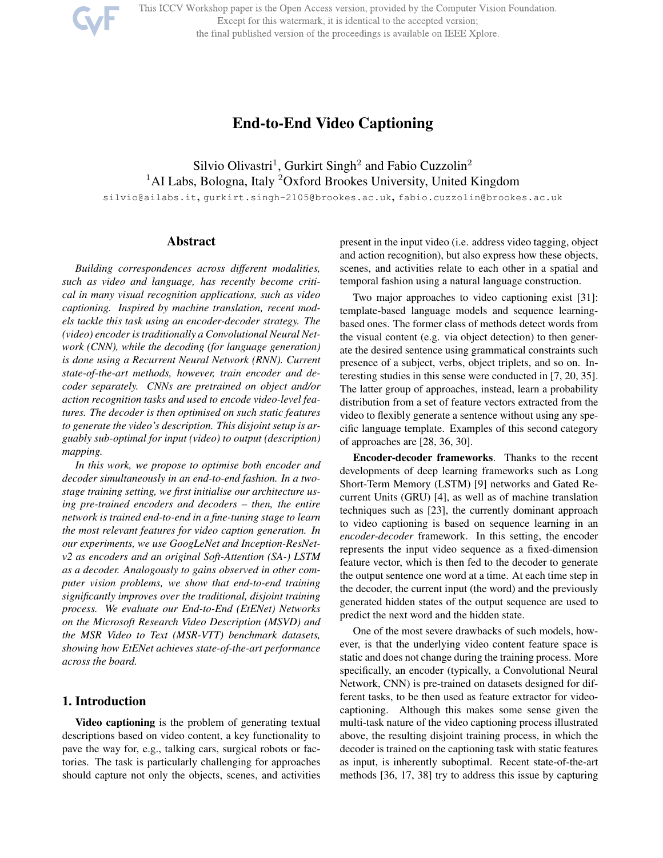This ICCV Workshop paper is the Open Access version, provided by the Computer Vision Foundation.

Except for this watermark, it is identical to the accepted version;

the final published version of the proceedings is available on IEEE Xplore.

# End-to-End Video Captioning

Silvio Olivastri<sup>1</sup>, Gurkirt Singh<sup>2</sup> and Fabio Cuzzolin<sup>2</sup> <sup>1</sup>AI Labs, Bologna, Italy <sup>2</sup>Oxford Brookes University, United Kingdom silvio@ailabs.it, gurkirt.singh-2105@brookes.ac.uk, fabio.cuzzolin@brookes.ac.uk

# Abstract

*Building correspondences across different modalities, such as video and language, has recently become critical in many visual recognition applications, such as video captioning. Inspired by machine translation, recent models tackle this task using an encoder-decoder strategy. The (video) encoder is traditionally a Convolutional Neural Network (CNN), while the decoding (for language generation) is done using a Recurrent Neural Network (RNN). Current state-of-the-art methods, however, train encoder and decoder separately. CNNs are pretrained on object and/or action recognition tasks and used to encode video-level features. The decoder is then optimised on such static features to generate the video's description. This disjoint setup is arguably sub-optimal for input (video) to output (description) mapping.*

*In this work, we propose to optimise both encoder and decoder simultaneously in an end-to-end fashion. In a twostage training setting, we first initialise our architecture using pre-trained encoders and decoders – then, the entire network is trained end-to-end in a fine-tuning stage to learn the most relevant features for video caption generation. In our experiments, we use GoogLeNet and Inception-ResNetv2 as encoders and an original Soft-Attention (SA-) LSTM as a decoder. Analogously to gains observed in other computer vision problems, we show that end-to-end training significantly improves over the traditional, disjoint training process. We evaluate our End-to-End (EtENet) Networks on the Microsoft Research Video Description (MSVD) and the MSR Video to Text (MSR-VTT) benchmark datasets, showing how EtENet achieves state-of-the-art performance across the board.*

## 1. Introduction

Video captioning is the problem of generating textual descriptions based on video content, a key functionality to pave the way for, e.g., talking cars, surgical robots or factories. The task is particularly challenging for approaches should capture not only the objects, scenes, and activities

present in the input video (i.e. address video tagging, object and action recognition), but also express how these objects, scenes, and activities relate to each other in a spatial and temporal fashion using a natural language construction.

Two major approaches to video captioning exist [31]: template-based language models and sequence learningbased ones. The former class of methods detect words from the visual content (e.g. via object detection) to then generate the desired sentence using grammatical constraints such presence of a subject, verbs, object triplets, and so on. Interesting studies in this sense were conducted in [7, 20, 35]. The latter group of approaches, instead, learn a probability distribution from a set of feature vectors extracted from the video to flexibly generate a sentence without using any specific language template. Examples of this second category of approaches are [28, 36, 30].

Encoder-decoder frameworks. Thanks to the recent developments of deep learning frameworks such as Long Short-Term Memory (LSTM) [9] networks and Gated Recurrent Units (GRU) [4], as well as of machine translation techniques such as [23], the currently dominant approach to video captioning is based on sequence learning in an *encoder-decoder* framework. In this setting, the encoder represents the input video sequence as a fixed-dimension feature vector, which is then fed to the decoder to generate the output sentence one word at a time. At each time step in the decoder, the current input (the word) and the previously generated hidden states of the output sequence are used to predict the next word and the hidden state.

One of the most severe drawbacks of such models, however, is that the underlying video content feature space is static and does not change during the training process. More specifically, an encoder (typically, a Convolutional Neural Network, CNN) is pre-trained on datasets designed for different tasks, to be then used as feature extractor for videocaptioning. Although this makes some sense given the multi-task nature of the video captioning process illustrated above, the resulting disjoint training process, in which the decoder is trained on the captioning task with static features as input, is inherently suboptimal. Recent state-of-the-art methods [36, 17, 38] try to address this issue by capturing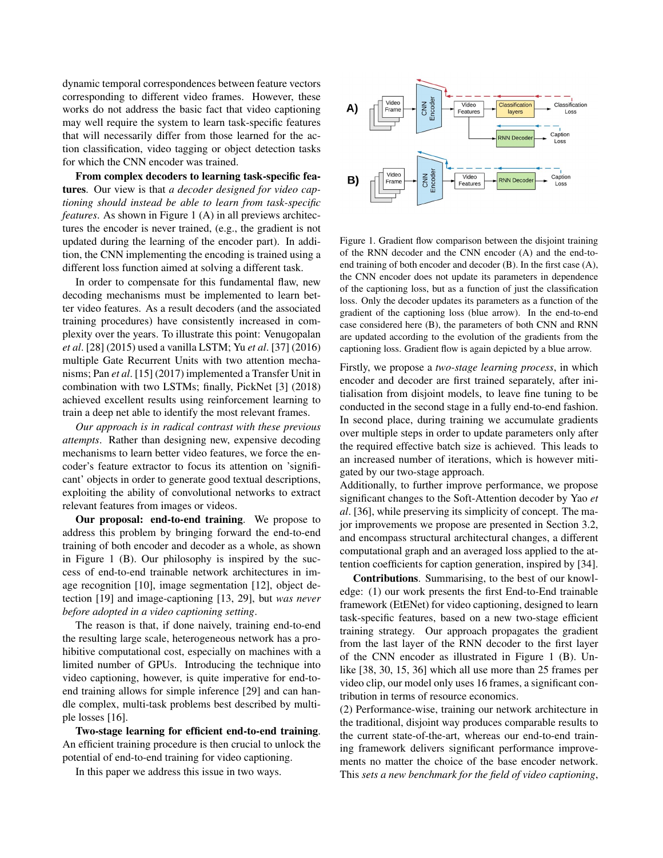dynamic temporal correspondences between feature vectors corresponding to different video frames. However, these works do not address the basic fact that video captioning may well require the system to learn task-specific features that will necessarily differ from those learned for the action classification, video tagging or object detection tasks for which the CNN encoder was trained.

From complex decoders to learning task-specific features. Our view is that *a decoder designed for video captioning should instead be able to learn from task-specific features*. As shown in Figure 1 (A) in all previews architectures the encoder is never trained, (e.g., the gradient is not updated during the learning of the encoder part). In addition, the CNN implementing the encoding is trained using a different loss function aimed at solving a different task.

In order to compensate for this fundamental flaw, new decoding mechanisms must be implemented to learn better video features. As a result decoders (and the associated training procedures) have consistently increased in complexity over the years. To illustrate this point: Venugopalan *et al*. [28] (2015) used a vanilla LSTM; Yu *et al*. [37] (2016) multiple Gate Recurrent Units with two attention mechanisms; Pan *et al*. [15] (2017) implemented a Transfer Unit in combination with two LSTMs; finally, PickNet [3] (2018) achieved excellent results using reinforcement learning to train a deep net able to identify the most relevant frames.

*Our approach is in radical contrast with these previous attempts*. Rather than designing new, expensive decoding mechanisms to learn better video features, we force the encoder's feature extractor to focus its attention on 'significant' objects in order to generate good textual descriptions, exploiting the ability of convolutional networks to extract relevant features from images or videos.

Our proposal: end-to-end training. We propose to address this problem by bringing forward the end-to-end training of both encoder and decoder as a whole, as shown in Figure 1 (B). Our philosophy is inspired by the success of end-to-end trainable network architectures in image recognition [10], image segmentation [12], object detection [19] and image-captioning [13, 29], but *was never before adopted in a video captioning setting*.

The reason is that, if done naively, training end-to-end the resulting large scale, heterogeneous network has a prohibitive computational cost, especially on machines with a limited number of GPUs. Introducing the technique into video captioning, however, is quite imperative for end-toend training allows for simple inference [29] and can handle complex, multi-task problems best described by multiple losses [16].

Two-stage learning for efficient end-to-end training. An efficient training procedure is then crucial to unlock the potential of end-to-end training for video captioning.

In this paper we address this issue in two ways.



Figure 1. Gradient flow comparison between the disjoint training of the RNN decoder and the CNN encoder (A) and the end-toend training of both encoder and decoder (B). In the first case (A), the CNN encoder does not update its parameters in dependence of the captioning loss, but as a function of just the classification loss. Only the decoder updates its parameters as a function of the gradient of the captioning loss (blue arrow). In the end-to-end case considered here (B), the parameters of both CNN and RNN are updated according to the evolution of the gradients from the captioning loss. Gradient flow is again depicted by a blue arrow.

Firstly, we propose a *two-stage learning process*, in which encoder and decoder are first trained separately, after initialisation from disjoint models, to leave fine tuning to be conducted in the second stage in a fully end-to-end fashion. In second place, during training we accumulate gradients over multiple steps in order to update parameters only after the required effective batch size is achieved. This leads to an increased number of iterations, which is however mitigated by our two-stage approach.

Additionally, to further improve performance, we propose significant changes to the Soft-Attention decoder by Yao *et al*. [36], while preserving its simplicity of concept. The major improvements we propose are presented in Section 3.2, and encompass structural architectural changes, a different computational graph and an averaged loss applied to the attention coefficients for caption generation, inspired by [34].

Contributions. Summarising, to the best of our knowledge: (1) our work presents the first End-to-End trainable framework (EtENet) for video captioning, designed to learn task-specific features, based on a new two-stage efficient training strategy. Our approach propagates the gradient from the last layer of the RNN decoder to the first layer of the CNN encoder as illustrated in Figure 1 (B). Unlike [38, 30, 15, 36] which all use more than 25 frames per video clip, our model only uses 16 frames, a significant contribution in terms of resource economics.

(2) Performance-wise, training our network architecture in the traditional, disjoint way produces comparable results to the current state-of-the-art, whereas our end-to-end training framework delivers significant performance improvements no matter the choice of the base encoder network. This *sets a new benchmark for the field of video captioning*,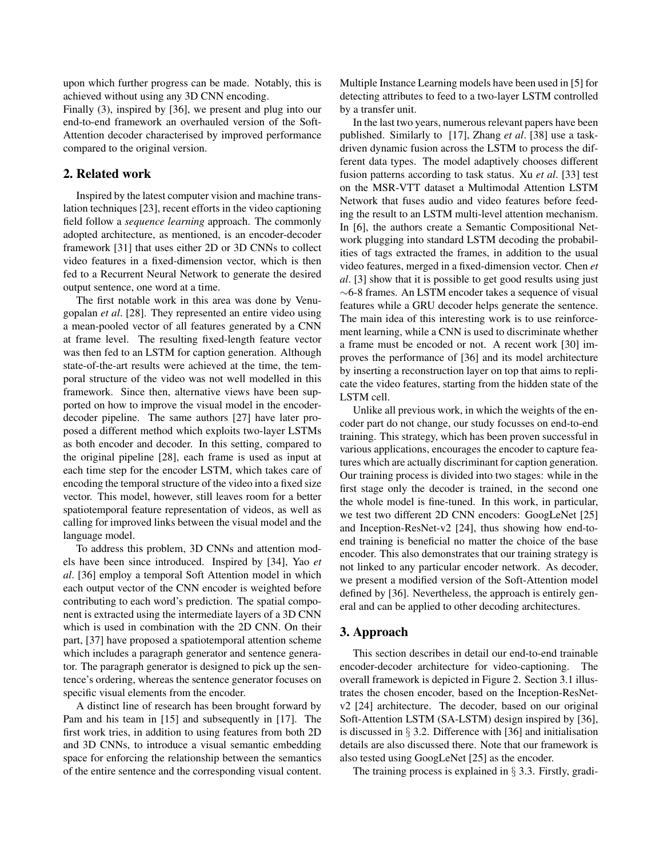upon which further progress can be made. Notably, this is achieved without using any 3D CNN encoding.

Finally (3), inspired by [36], we present and plug into our end-to-end framework an overhauled version of the Soft-Attention decoder characterised by improved performance compared to the original version.

## 2. Related work

Inspired by the latest computer vision and machine translation techniques [23], recent efforts in the video captioning field follow a *sequence learning* approach. The commonly adopted architecture, as mentioned, is an encoder-decoder framework [31] that uses either 2D or 3D CNNs to collect video features in a fixed-dimension vector, which is then fed to a Recurrent Neural Network to generate the desired output sentence, one word at a time.

The first notable work in this area was done by Venugopalan *et al*. [28]. They represented an entire video using a mean-pooled vector of all features generated by a CNN at frame level. The resulting fixed-length feature vector was then fed to an LSTM for caption generation. Although state-of-the-art results were achieved at the time, the temporal structure of the video was not well modelled in this framework. Since then, alternative views have been supported on how to improve the visual model in the encoderdecoder pipeline. The same authors [27] have later proposed a different method which exploits two-layer LSTMs as both encoder and decoder. In this setting, compared to the original pipeline [28], each frame is used as input at each time step for the encoder LSTM, which takes care of encoding the temporal structure of the video into a fixed size vector. This model, however, still leaves room for a better spatiotemporal feature representation of videos, as well as calling for improved links between the visual model and the language model.

To address this problem, 3D CNNs and attention models have been since introduced. Inspired by [34], Yao *et al*. [36] employ a temporal Soft Attention model in which each output vector of the CNN encoder is weighted before contributing to each word's prediction. The spatial component is extracted using the intermediate layers of a 3D CNN which is used in combination with the 2D CNN. On their part, [37] have proposed a spatiotemporal attention scheme which includes a paragraph generator and sentence generator. The paragraph generator is designed to pick up the sentence's ordering, whereas the sentence generator focuses on specific visual elements from the encoder.

A distinct line of research has been brought forward by Pam and his team in [15] and subsequently in [17]. The first work tries, in addition to using features from both 2D and 3D CNNs, to introduce a visual semantic embedding space for enforcing the relationship between the semantics of the entire sentence and the corresponding visual content. Multiple Instance Learning models have been used in [5] for detecting attributes to feed to a two-layer LSTM controlled by a transfer unit.

In the last two years, numerous relevant papers have been published. Similarly to [17], Zhang *et al*. [38] use a taskdriven dynamic fusion across the LSTM to process the different data types. The model adaptively chooses different fusion patterns according to task status. Xu *et al*. [33] test on the MSR-VTT dataset a Multimodal Attention LSTM Network that fuses audio and video features before feeding the result to an LSTM multi-level attention mechanism. In [6], the authors create a Semantic Compositional Network plugging into standard LSTM decoding the probabilities of tags extracted the frames, in addition to the usual video features, merged in a fixed-dimension vector. Chen *et al*. [3] show that it is possible to get good results using just ∼6-8 frames. An LSTM encoder takes a sequence of visual features while a GRU decoder helps generate the sentence. The main idea of this interesting work is to use reinforcement learning, while a CNN is used to discriminate whether a frame must be encoded or not. A recent work [30] improves the performance of [36] and its model architecture by inserting a reconstruction layer on top that aims to replicate the video features, starting from the hidden state of the LSTM cell.

Unlike all previous work, in which the weights of the encoder part do not change, our study focusses on end-to-end training. This strategy, which has been proven successful in various applications, encourages the encoder to capture features which are actually discriminant for caption generation. Our training process is divided into two stages: while in the first stage only the decoder is trained, in the second one the whole model is fine-tuned. In this work, in particular, we test two different 2D CNN encoders: GoogLeNet [25] and Inception-ResNet-v2 [24], thus showing how end-toend training is beneficial no matter the choice of the base encoder. This also demonstrates that our training strategy is not linked to any particular encoder network. As decoder, we present a modified version of the Soft-Attention model defined by [36]. Nevertheless, the approach is entirely general and can be applied to other decoding architectures.

## 3. Approach

This section describes in detail our end-to-end trainable encoder-decoder architecture for video-captioning. The overall framework is depicted in Figure 2. Section 3.1 illustrates the chosen encoder, based on the Inception-ResNetv2 [24] architecture. The decoder, based on our original Soft-Attention LSTM (SA-LSTM) design inspired by [36], is discussed in  $\S$  3.2. Difference with [36] and initialisation details are also discussed there. Note that our framework is also tested using GoogLeNet [25] as the encoder.

The training process is explained in § 3.3. Firstly, gradi-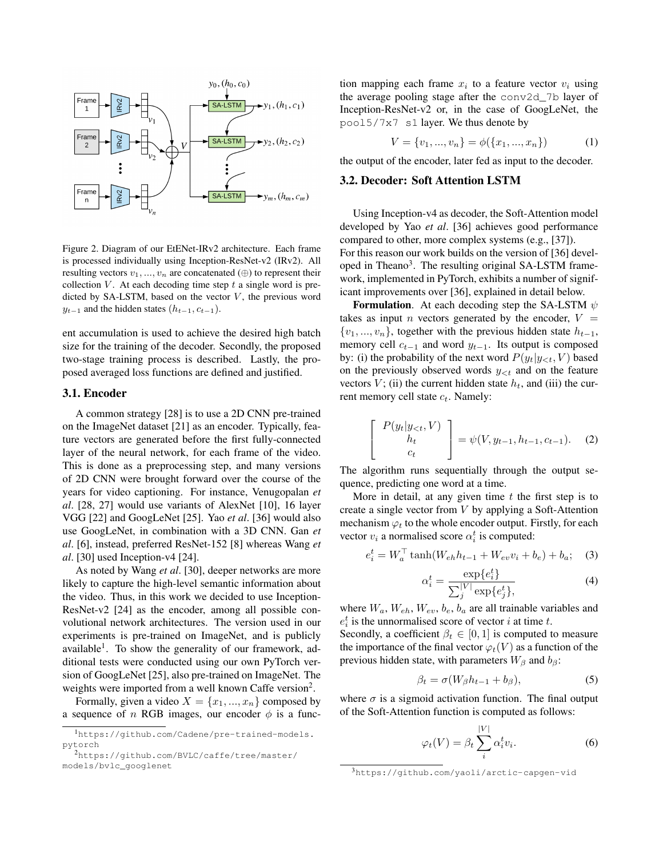

Figure 2. Diagram of our EtENet-IRv2 architecture. Each frame is processed individually using Inception-ResNet-v2 (IRv2). All resulting vectors  $v_1, ..., v_n$  are concatenated (⊕) to represent their collection  $V$ . At each decoding time step  $t$  a single word is predicted by SA-LSTM, based on the vector  $V$ , the previous word  $y_{t-1}$  and the hidden states  $(h_{t-1}, c_{t-1})$ .

ent accumulation is used to achieve the desired high batch size for the training of the decoder. Secondly, the proposed two-stage training process is described. Lastly, the proposed averaged loss functions are defined and justified.

#### 3.1. Encoder

A common strategy [28] is to use a 2D CNN pre-trained on the ImageNet dataset [21] as an encoder. Typically, feature vectors are generated before the first fully-connected layer of the neural network, for each frame of the video. This is done as a preprocessing step, and many versions of 2D CNN were brought forward over the course of the years for video captioning. For instance, Venugopalan *et al*. [28, 27] would use variants of AlexNet [10], 16 layer VGG [22] and GoogLeNet [25]. Yao *et al*. [36] would also use GoogLeNet, in combination with a 3D CNN. Gan *et al*. [6], instead, preferred ResNet-152 [8] whereas Wang *et al*. [30] used Inception-v4 [24].

As noted by Wang *et al*. [30], deeper networks are more likely to capture the high-level semantic information about the video. Thus, in this work we decided to use Inception-ResNet-v2 [24] as the encoder, among all possible convolutional network architectures. The version used in our experiments is pre-trained on ImageNet, and is publicly available<sup>1</sup>. To show the generality of our framework, additional tests were conducted using our own PyTorch version of GoogLeNet [25], also pre-trained on ImageNet. The weights were imported from a well known Caffe version<sup>2</sup>.

Formally, given a video  $X = \{x_1, ..., x_n\}$  composed by a sequence of n RGB images, our encoder  $\phi$  is a function mapping each frame  $x_i$  to a feature vector  $v_i$  using the average pooling stage after the conv2d\_7b layer of Inception-ResNet-v2 or, in the case of GoogLeNet, the pool5/7x7 s1 layer. We thus denote by

$$
V = \{v_1, ..., v_n\} = \phi(\{x_1, ..., x_n\})
$$
 (1)

the output of the encoder, later fed as input to the decoder.

## 3.2. Decoder: Soft Attention LSTM

Using Inception-v4 as decoder, the Soft-Attention model developed by Yao *et al*. [36] achieves good performance compared to other, more complex systems (e.g., [37]).

For this reason our work builds on the version of [36] developed in Theano<sup>3</sup>. The resulting original SA-LSTM framework, implemented in PyTorch, exhibits a number of significant improvements over [36], explained in detail below.

**Formulation.** At each decoding step the SA-LSTM  $\psi$ takes as input *n* vectors generated by the encoder,  $V =$  $\{v_1, ..., v_n\}$ , together with the previous hidden state  $h_{t-1}$ , memory cell  $c_{t-1}$  and word  $y_{t-1}$ . Its output is composed by: (i) the probability of the next word  $P(y_t|y_{\leq t}, V)$  based on the previously observed words  $y_{< t}$  and on the feature vectors  $V$ ; (ii) the current hidden state  $h_t$ , and (iii) the current memory cell state  $c_t$ . Namely:

$$
\begin{bmatrix}\nP(y_t|y_{<};t,V) \\
h_t \\
c_t\n\end{bmatrix} = \psi(V, y_{t-1}, h_{t-1}, c_{t-1}).\n\tag{2}
$$

The algorithm runs sequentially through the output sequence, predicting one word at a time.

More in detail, at any given time  $t$  the first step is to create a single vector from  $V$  by applying a Soft-Attention mechanism  $\varphi_t$  to the whole encoder output. Firstly, for each vector  $v_i$  a normalised score  $\alpha_i^t$  is computed:

$$
e_i^t = W_a^{\top} \tanh(W_{eh} h_{t-1} + W_{ev} v_i + b_e) + b_a; \quad (3)
$$

$$
\alpha_i^t = \frac{\exp\{e_i^t\}}{\sum_j^{|V|} \exp\{e_j^t\}},\tag{4}
$$

where  $W_a$ ,  $W_{eh}$ ,  $W_{ev}$ ,  $b_e$ ,  $b_a$  are all trainable variables and  $e_i^t$  is the unnormalised score of vector *i* at time *t*.

Secondly, a coefficient  $\beta_t \in [0,1]$  is computed to measure the importance of the final vector  $\varphi_t(V)$  as a function of the previous hidden state, with parameters  $W_\beta$  and  $b_\beta$ :

$$
\beta_t = \sigma(W_\beta h_{t-1} + b_\beta),\tag{5}
$$

where  $\sigma$  is a sigmoid activation function. The final output of the Soft-Attention function is computed as follows:

$$
\varphi_t(V) = \beta_t \sum_i^{|V|} \alpha_i^t v_i.
$$
\n(6)

<sup>1</sup>https://github.com/Cadene/pre-trained-models. pytorch

<sup>2</sup>https://github.com/BVLC/caffe/tree/master/ models/bvlc\_googlenet

<sup>3</sup>https://github.com/yaoli/arctic-capgen-vid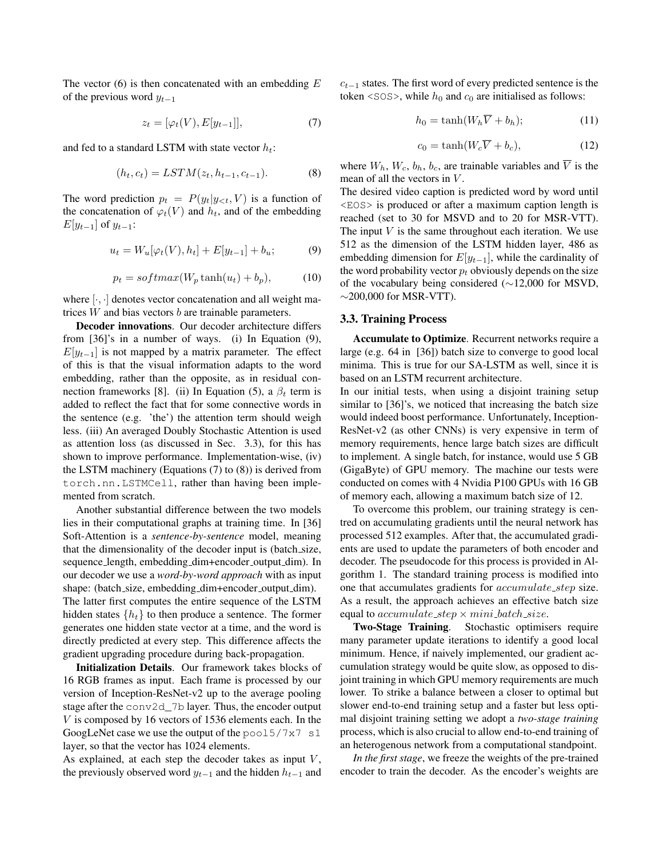The vector  $(6)$  is then concatenated with an embedding  $E$ of the previous word  $y_{t-1}$ 

$$
z_t = [\varphi_t(V), E[y_{t-1}]], \tag{7}
$$

and fed to a standard LSTM with state vector  $h_t$ :

$$
(h_t, c_t) = LSTM(z_t, h_{t-1}, c_{t-1}).
$$
\n(8)

The word prediction  $p_t = P(y_t | y_{\leq t}, V)$  is a function of the concatenation of  $\varphi_t(V)$  and  $h_t$ , and of the embedding  $E[y_{t-1}]$  of  $y_{t-1}$ :

$$
u_t = W_u[\varphi_t(V), h_t] + E[y_{t-1}] + b_u; \tag{9}
$$

$$
p_t = softmax(W_p \tanh(u_t) + b_p), \tag{10}
$$

where  $|\cdot,\cdot|$  denotes vector concatenation and all weight matrices  $W$  and bias vectors  $b$  are trainable parameters.

Decoder innovations. Our decoder architecture differs from [36]'s in a number of ways. (i) In Equation (9),  $E[y_{t-1}]$  is not mapped by a matrix parameter. The effect of this is that the visual information adapts to the word embedding, rather than the opposite, as in residual connection frameworks [8]. (ii) In Equation (5), a  $\beta_t$  term is added to reflect the fact that for some connective words in the sentence (e.g. 'the') the attention term should weigh less. (iii) An averaged Doubly Stochastic Attention is used as attention loss (as discussed in Sec. 3.3), for this has shown to improve performance. Implementation-wise, (iv) the LSTM machinery (Equations (7) to (8)) is derived from torch.nn.LSTMCell, rather than having been implemented from scratch.

Another substantial difference between the two models lies in their computational graphs at training time. In [36] Soft-Attention is a *sentence-by-sentence* model, meaning that the dimensionality of the decoder input is (batch size, sequence\_length, embedding\_dim+encoder\_output\_dim). In our decoder we use a *word-by-word approach* with as input shape: (batch\_size, embedding\_dim+encoder\_output\_dim). The latter first computes the entire sequence of the LSTM hidden states  $\{h_t\}$  to then produce a sentence. The former generates one hidden state vector at a time, and the word is directly predicted at every step. This difference affects the gradient upgrading procedure during back-propagation.

Initialization Details. Our framework takes blocks of 16 RGB frames as input. Each frame is processed by our version of Inception-ResNet-v2 up to the average pooling stage after the conv2d\_7b layer. Thus, the encoder output V is composed by 16 vectors of 1536 elements each. In the GoogLeNet case we use the output of the pool5/7x7 s1 layer, so that the vector has 1024 elements.

As explained, at each step the decoder takes as input  $V$ , the previously observed word  $y_{t-1}$  and the hidden  $h_{t-1}$  and  $c_{t-1}$  states. The first word of every predicted sentence is the token <SOS>, while  $h_0$  and  $c_0$  are initialised as follows:

$$
h_0 = \tanh(W_h \overline{V} + b_h); \tag{11}
$$

$$
c_0 = \tanh(W_c \overline{V} + b_c),\tag{12}
$$

where  $W_h$ ,  $W_c$ ,  $b_h$ ,  $b_c$ , are trainable variables and  $\overline{V}$  is the mean of all the vectors in  $V$ .

The desired video caption is predicted word by word until <EOS> is produced or after a maximum caption length is reached (set to 30 for MSVD and to 20 for MSR-VTT). The input  $V$  is the same throughout each iteration. We use 512 as the dimension of the LSTM hidden layer, 486 as embedding dimension for  $E[y_{t-1}]$ , while the cardinality of the word probability vector  $p_t$  obviously depends on the size of the vocabulary being considered (∼12,000 for MSVD,  $\sim$ 200,000 for MSR-VTT).

#### 3.3. Training Process

Accumulate to Optimize. Recurrent networks require a large (e.g. 64 in [36]) batch size to converge to good local minima. This is true for our SA-LSTM as well, since it is based on an LSTM recurrent architecture.

In our initial tests, when using a disjoint training setup similar to [36]'s, we noticed that increasing the batch size would indeed boost performance. Unfortunately, Inception-ResNet-v2 (as other CNNs) is very expensive in term of memory requirements, hence large batch sizes are difficult to implement. A single batch, for instance, would use 5 GB (GigaByte) of GPU memory. The machine our tests were conducted on comes with 4 Nvidia P100 GPUs with 16 GB of memory each, allowing a maximum batch size of 12.

To overcome this problem, our training strategy is centred on accumulating gradients until the neural network has processed 512 examples. After that, the accumulated gradients are used to update the parameters of both encoder and decoder. The pseudocode for this process is provided in Algorithm 1. The standard training process is modified into one that accumulates gradients for *accumulate\_step* size. As a result, the approach achieves an effective batch size equal to *accumulate\_step*  $\times$  *mini\_batch\_size.* 

Two-Stage Training. Stochastic optimisers require many parameter update iterations to identify a good local minimum. Hence, if naively implemented, our gradient accumulation strategy would be quite slow, as opposed to disjoint training in which GPU memory requirements are much lower. To strike a balance between a closer to optimal but slower end-to-end training setup and a faster but less optimal disjoint training setting we adopt a *two-stage training* process, which is also crucial to allow end-to-end training of an heterogenous network from a computational standpoint.

*In the first stage*, we freeze the weights of the pre-trained encoder to train the decoder. As the encoder's weights are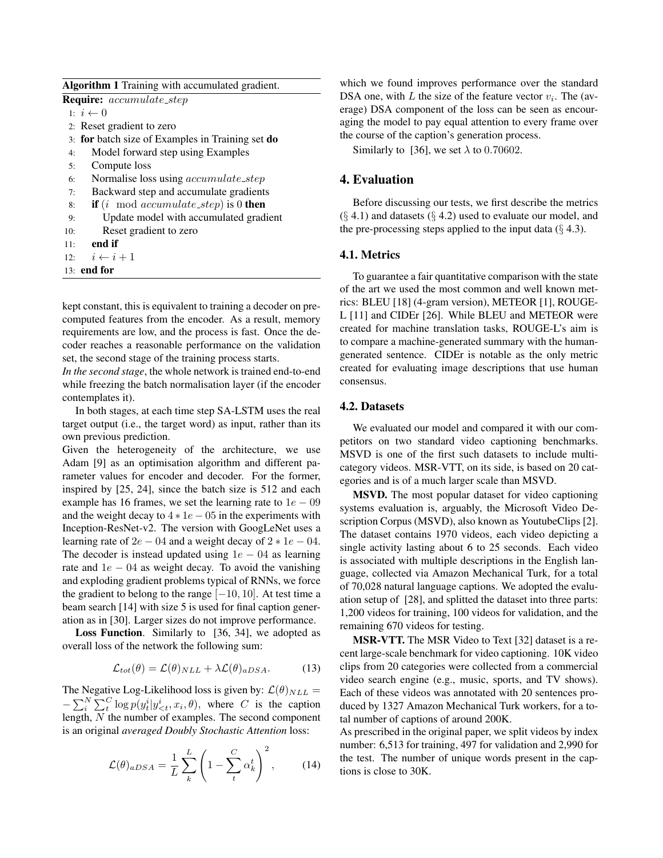|  | Require: accumulate_step |
|--|--------------------------|
|--|--------------------------|

- 1:  $i \leftarrow 0$
- 2: Reset gradient to zero
- 3: for batch size of Examples in Training set do
- 4: Model forward step using Examples
- 5: Compute loss
- 6: Normalise loss using accumulate step
- 7: Backward step and accumulate gradients
- 8: **if** (*i* mod *accumulate\_step*) is 0 **then**
- 9: Update model with accumulated gradient
- 10: Reset gradient to zero
- 11: end if
- 12:  $i \leftarrow i + 1$
- 13: end for

kept constant, this is equivalent to training a decoder on precomputed features from the encoder. As a result, memory requirements are low, and the process is fast. Once the decoder reaches a reasonable performance on the validation set, the second stage of the training process starts.

*In the second stage*, the whole network is trained end-to-end while freezing the batch normalisation layer (if the encoder contemplates it).

In both stages, at each time step SA-LSTM uses the real target output (i.e., the target word) as input, rather than its own previous prediction.

Given the heterogeneity of the architecture, we use Adam [9] as an optimisation algorithm and different parameter values for encoder and decoder. For the former, inspired by [25, 24], since the batch size is 512 and each example has 16 frames, we set the learning rate to  $1e - 09$ and the weight decay to  $4 * 1e - 05$  in the experiments with Inception-ResNet-v2. The version with GoogLeNet uses a learning rate of  $2e - 04$  and a weight decay of  $2 * 1e - 04$ . The decoder is instead updated using  $1e - 04$  as learning rate and  $1e - 04$  as weight decay. To avoid the vanishing and exploding gradient problems typical of RNNs, we force the gradient to belong to the range  $[-10, 10]$ . At test time a beam search [14] with size 5 is used for final caption generation as in [30]. Larger sizes do not improve performance.

Loss Function. Similarly to [36, 34], we adopted as overall loss of the network the following sum:

$$
\mathcal{L}_{tot}(\theta) = \mathcal{L}(\theta)_{NLL} + \lambda \mathcal{L}(\theta)_{aDSA}.
$$
 (13)

The Negative Log-Likelihood loss is given by:  $\mathcal{L}(\theta)_{NLL} =$  $-\sum_{i}^{N} \sum_{t}^{C} \log p(y_t^i | y_{\leq t}^i, x_i, \theta)$ , where C is the caption length, N the number of examples. The second component is an original *averaged Doubly Stochastic Attention* loss:

$$
\mathcal{L}(\theta)_{aDSA} = \frac{1}{L} \sum_{k}^{L} \left( 1 - \sum_{t}^{C} \alpha_k^t \right)^2, \quad (14)
$$

which we found improves performance over the standard DSA one, with L the size of the feature vector  $v_i$ . The (average) DSA component of the loss can be seen as encouraging the model to pay equal attention to every frame over the course of the caption's generation process.

Similarly to [36], we set  $\lambda$  to 0.70602.

#### 4. Evaluation

Before discussing our tests, we first describe the metrics  $(\S 4.1)$  and datasets  $(\S 4.2)$  used to evaluate our model, and the pre-processing steps applied to the input data  $(\S 4.3)$ .

#### 4.1. Metrics

To guarantee a fair quantitative comparison with the state of the art we used the most common and well known metrics: BLEU [18] (4-gram version), METEOR [1], ROUGE-L [11] and CIDEr [26]. While BLEU and METEOR were created for machine translation tasks, ROUGE-L's aim is to compare a machine-generated summary with the humangenerated sentence. CIDEr is notable as the only metric created for evaluating image descriptions that use human consensus.

### 4.2. Datasets

We evaluated our model and compared it with our competitors on two standard video captioning benchmarks. MSVD is one of the first such datasets to include multicategory videos. MSR-VTT, on its side, is based on 20 categories and is of a much larger scale than MSVD.

MSVD. The most popular dataset for video captioning systems evaluation is, arguably, the Microsoft Video Description Corpus (MSVD), also known as YoutubeClips [2]. The dataset contains 1970 videos, each video depicting a single activity lasting about 6 to 25 seconds. Each video is associated with multiple descriptions in the English language, collected via Amazon Mechanical Turk, for a total of 70,028 natural language captions. We adopted the evaluation setup of [28], and splitted the dataset into three parts: 1,200 videos for training, 100 videos for validation, and the remaining 670 videos for testing.

MSR-VTT. The MSR Video to Text [32] dataset is a recent large-scale benchmark for video captioning. 10K video clips from 20 categories were collected from a commercial video search engine (e.g., music, sports, and TV shows). Each of these videos was annotated with 20 sentences produced by 1327 Amazon Mechanical Turk workers, for a total number of captions of around 200K.

As prescribed in the original paper, we split videos by index number: 6,513 for training, 497 for validation and 2,990 for the test. The number of unique words present in the captions is close to 30K.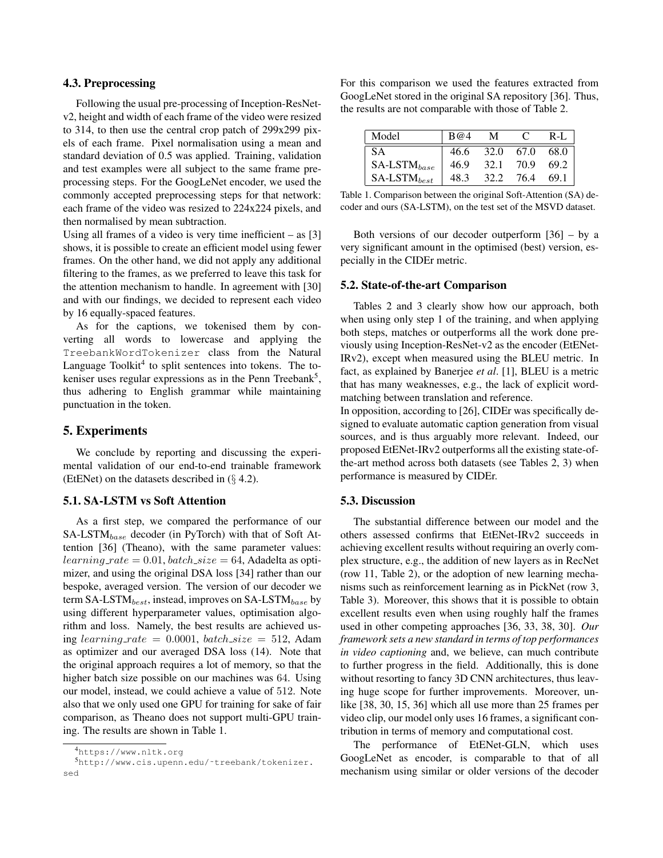## 4.3. Preprocessing

Following the usual pre-processing of Inception-ResNetv2, height and width of each frame of the video were resized to 314, to then use the central crop patch of 299x299 pixels of each frame. Pixel normalisation using a mean and standard deviation of 0.5 was applied. Training, validation and test examples were all subject to the same frame preprocessing steps. For the GoogLeNet encoder, we used the commonly accepted preprocessing steps for that network: each frame of the video was resized to 224x224 pixels, and then normalised by mean subtraction.

Using all frames of a video is very time inefficient  $-$  as [3] shows, it is possible to create an efficient model using fewer frames. On the other hand, we did not apply any additional filtering to the frames, as we preferred to leave this task for the attention mechanism to handle. In agreement with [30] and with our findings, we decided to represent each video by 16 equally-spaced features.

As for the captions, we tokenised them by converting all words to lowercase and applying the TreebankWordTokenizer class from the Natural Language Toolkit<sup>4</sup> to split sentences into tokens. The tokeniser uses regular expressions as in the Penn Treebank<sup>5</sup>, thus adhering to English grammar while maintaining punctuation in the token.

## 5. Experiments

We conclude by reporting and discussing the experimental validation of our end-to-end trainable framework (EtENet) on the datasets described in  $(\S$  4.2).

# 5.1. SA-LSTM vs Soft Attention

As a first step, we compared the performance of our  $SA$ -LST $M_{base}$  decoder (in PyTorch) with that of Soft Attention [36] (Theano), with the same parameter values:  $learning_rate = 0.01, batch_size = 64, Addelta as opti$ mizer, and using the original DSA loss [34] rather than our bespoke, averaged version. The version of our decoder we term SA-LST $M_{best}$ , instead, improves on SA-LST $M_{base}$  by using different hyperparameter values, optimisation algorithm and loss. Namely, the best results are achieved using learning rate = 0.0001, batch\_size = 512, Adam as optimizer and our averaged DSA loss (14). Note that the original approach requires a lot of memory, so that the higher batch size possible on our machines was 64. Using our model, instead, we could achieve a value of 512. Note also that we only used one GPU for training for sake of fair comparison, as Theano does not support multi-GPU training. The results are shown in Table 1.

For this comparison we used the features extracted from GoogLeNet stored in the original SA repository [36]. Thus, the results are not comparable with those of Table 2.

| Model                | B@4  | М    |      | R-L  |
|----------------------|------|------|------|------|
| S A                  | 46.6 | 32.O | 67.0 | 68.0 |
| $SA$ -LST $M_{base}$ | 46.9 | 32.1 | 70.9 | 69.2 |
| $SA$ -LST $M_{best}$ | 48.3 | 32.2 | 76.4 | 69 1 |

Table 1. Comparison between the original Soft-Attention (SA) decoder and ours (SA-LSTM), on the test set of the MSVD dataset.

Both versions of our decoder outperform [36] – by a very significant amount in the optimised (best) version, especially in the CIDEr metric.

#### 5.2. State-of-the-art Comparison

Tables 2 and 3 clearly show how our approach, both when using only step 1 of the training, and when applying both steps, matches or outperforms all the work done previously using Inception-ResNet-v2 as the encoder (EtENet-IRv2), except when measured using the BLEU metric. In fact, as explained by Banerjee *et al*. [1], BLEU is a metric that has many weaknesses, e.g., the lack of explicit wordmatching between translation and reference.

In opposition, according to [26], CIDEr was specifically designed to evaluate automatic caption generation from visual sources, and is thus arguably more relevant. Indeed, our proposed EtENet-IRv2 outperforms all the existing state-ofthe-art method across both datasets (see Tables 2, 3) when performance is measured by CIDEr.

#### 5.3. Discussion

The substantial difference between our model and the others assessed confirms that EtENet-IRv2 succeeds in achieving excellent results without requiring an overly complex structure, e.g., the addition of new layers as in RecNet (row 11, Table 2), or the adoption of new learning mechanisms such as reinforcement learning as in PickNet (row 3, Table 3). Moreover, this shows that it is possible to obtain excellent results even when using roughly half the frames used in other competing approaches [36, 33, 38, 30]. *Our framework sets a new standard in terms of top performances in video captioning* and, we believe, can much contribute to further progress in the field. Additionally, this is done without resorting to fancy 3D CNN architectures, thus leaving huge scope for further improvements. Moreover, unlike [38, 30, 15, 36] which all use more than 25 frames per video clip, our model only uses 16 frames, a significant contribution in terms of memory and computational cost.

The performance of EtENet-GLN, which uses GoogLeNet as encoder, is comparable to that of all mechanism using similar or older versions of the decoder

<sup>4</sup>https://www.nltk.org

<sup>5</sup>http://www.cis.upenn.edu/˜treebank/tokenizer. sed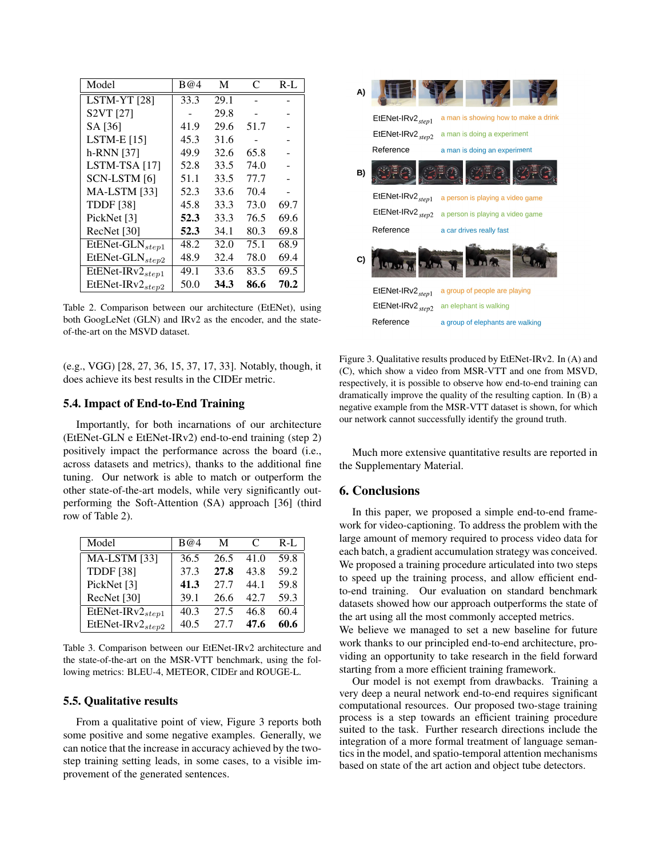| Model                                            | B@4  | M    | C                        | R-L  |
|--------------------------------------------------|------|------|--------------------------|------|
| LSTM-YT <sub>[28]</sub>                          | 33.3 | 29.1 |                          |      |
| S2VT [27]                                        |      | 29.8 | $\overline{\phantom{0}}$ |      |
| SA [36]                                          | 41.9 | 29.6 | 51.7                     |      |
| LSTM-E $[15]$                                    | 45.3 | 31.6 |                          |      |
| h-RNN [37]                                       | 49.9 | 32.6 | 65.8                     |      |
| LSTM-TSA [17]                                    | 52.8 | 33.5 | 74.0                     |      |
| SCN-LSTM [6]                                     | 51.1 | 33.5 | 77.7                     |      |
| <b>MA-LSTM</b> [33]                              | 52.3 | 33.6 | 70.4                     |      |
| <b>TDDF</b> [38]                                 | 45.8 | 33.3 | 73.0                     | 69.7 |
| PickNet [3]                                      | 52.3 | 33.3 | 76.5                     | 69.6 |
| RecNet [30]                                      | 52.3 | 34.1 | 80.3                     | 69.8 |
| $\overline{\text{Et}}$ ENet-GLN <sub>step1</sub> | 48.2 | 32.0 | 75.1                     | 68.9 |
| EtENet-GLN <sub>step2</sub>                      | 48.9 | 32.4 | 78.0                     | 69.4 |
| $\overline{\text{Et}}$ EtENet-IRv $2_{step1}$    | 49.1 | 33.6 | 83.5                     | 69.5 |
| EtENet-IRv2 <sub>step2</sub>                     | 50.0 | 34.3 | 86.6                     | 70.2 |

Table 2. Comparison between our architecture (EtENet), using both GoogLeNet (GLN) and IRv2 as the encoder, and the stateof-the-art on the MSVD dataset.

(e.g., VGG) [28, 27, 36, 15, 37, 17, 33]. Notably, though, it does achieve its best results in the CIDEr metric.

## 5.4. Impact of End-to-End Training

Importantly, for both incarnations of our architecture (EtENet-GLN e EtENet-IRv2) end-to-end training (step 2) positively impact the performance across the board (i.e., across datasets and metrics), thanks to the additional fine tuning. Our network is able to match or outperform the other state-of-the-art models, while very significantly outperforming the Soft-Attention (SA) approach [36] (third row of Table 2).

| Model                            | B@4  | М    |      | $R-L$ |
|----------------------------------|------|------|------|-------|
| <b>MA-LSTM</b> [33]              | 36.5 | 26.5 | 41.0 | 59.8  |
| <b>TDDF</b> [38]                 | 37.3 | 27.8 | 43.8 | 59.2  |
| PickNet [3]                      | 41.3 | 27.7 | 44 1 | 59.8  |
| RecNet [30]                      | 39.1 | 26.6 | 42.7 | 59.3  |
| EtENet-IRv $2_{step1}$           | 40.3 | 27.5 | 46.8 | 60.4  |
| EtENet-IRv $2$ <sub>stev</sub> 2 | 40.5 | 27.7 | 47.6 | 60.6  |

Table 3. Comparison between our EtENet-IRv2 architecture and the state-of-the-art on the MSR-VTT benchmark, using the following metrics: BLEU-4, METEOR, CIDEr and ROUGE-L.

#### 5.5. Qualitative results

From a qualitative point of view, Figure 3 reports both some positive and some negative examples. Generally, we can notice that the increase in accuracy achieved by the twostep training setting leads, in some cases, to a visible improvement of the generated sentences.



Figure 3. Qualitative results produced by EtENet-IRv2. In (A) and (C), which show a video from MSR-VTT and one from MSVD, respectively, it is possible to observe how end-to-end training can dramatically improve the quality of the resulting caption. In (B) a negative example from the MSR-VTT dataset is shown, for which our network cannot successfully identify the ground truth.

Much more extensive quantitative results are reported in the Supplementary Material.

## 6. Conclusions

In this paper, we proposed a simple end-to-end framework for video-captioning. To address the problem with the large amount of memory required to process video data for each batch, a gradient accumulation strategy was conceived. We proposed a training procedure articulated into two steps to speed up the training process, and allow efficient endto-end training. Our evaluation on standard benchmark datasets showed how our approach outperforms the state of the art using all the most commonly accepted metrics.

We believe we managed to set a new baseline for future work thanks to our principled end-to-end architecture, providing an opportunity to take research in the field forward starting from a more efficient training framework.

Our model is not exempt from drawbacks. Training a very deep a neural network end-to-end requires significant computational resources. Our proposed two-stage training process is a step towards an efficient training procedure suited to the task. Further research directions include the integration of a more formal treatment of language semantics in the model, and spatio-temporal attention mechanisms based on state of the art action and object tube detectors.